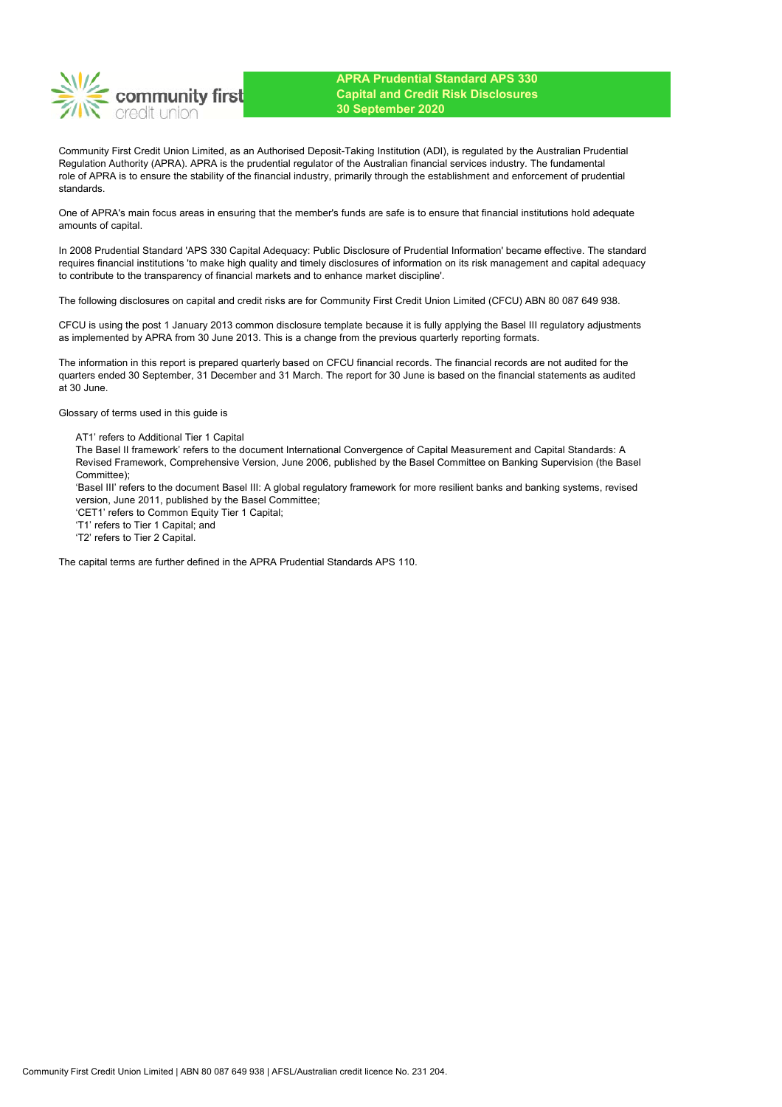community first

**APRA Prudential Standard APS 330 Capital and Credit Risk Disclosures 30 September 2020**

Community First Credit Union Limited, as an Authorised Deposit-Taking Institution (ADI), is regulated by the Australian Prudential Regulation Authority (APRA). APRA is the prudential regulator of the Australian financial services industry. The fundamental role of APRA is to ensure the stability of the financial industry, primarily through the establishment and enforcement of prudential standards.

One of APRA's main focus areas in ensuring that the member's funds are safe is to ensure that financial institutions hold adequate amounts of capital.

In 2008 Prudential Standard 'APS 330 Capital Adequacy: Public Disclosure of Prudential Information' became effective. The standard requires financial institutions 'to make high quality and timely disclosures of information on its risk management and capital adequacy to contribute to the transparency of financial markets and to enhance market discipline'.

The following disclosures on capital and credit risks are for Community First Credit Union Limited (CFCU) ABN 80 087 649 938.

CFCU is using the post 1 January 2013 common disclosure template because it is fully applying the Basel III regulatory adjustments as implemented by APRA from 30 June 2013. This is a change from the previous quarterly reporting formats.

The information in this report is prepared quarterly based on CFCU financial records. The financial records are not audited for the quarters ended 30 September, 31 December and 31 March. The report for 30 June is based on the financial statements as audited at 30 June.

Glossary of terms used in this guide is

AT1' refers to Additional Tier 1 Capital

The Basel II framework' refers to the document International Convergence of Capital Measurement and Capital Standards: A Revised Framework, Comprehensive Version, June 2006, published by the Basel Committee on Banking Supervision (the Basel Committee);

'Basel III' refers to the document Basel III: A global regulatory framework for more resilient banks and banking systems, revised version, June 2011, published by the Basel Committee;

'CET1' refers to Common Equity Tier 1 Capital;

'T1' refers to Tier 1 Capital; and

'T2' refers to Tier 2 Capital.

The capital terms are further defined in the APRA Prudential Standards APS 110.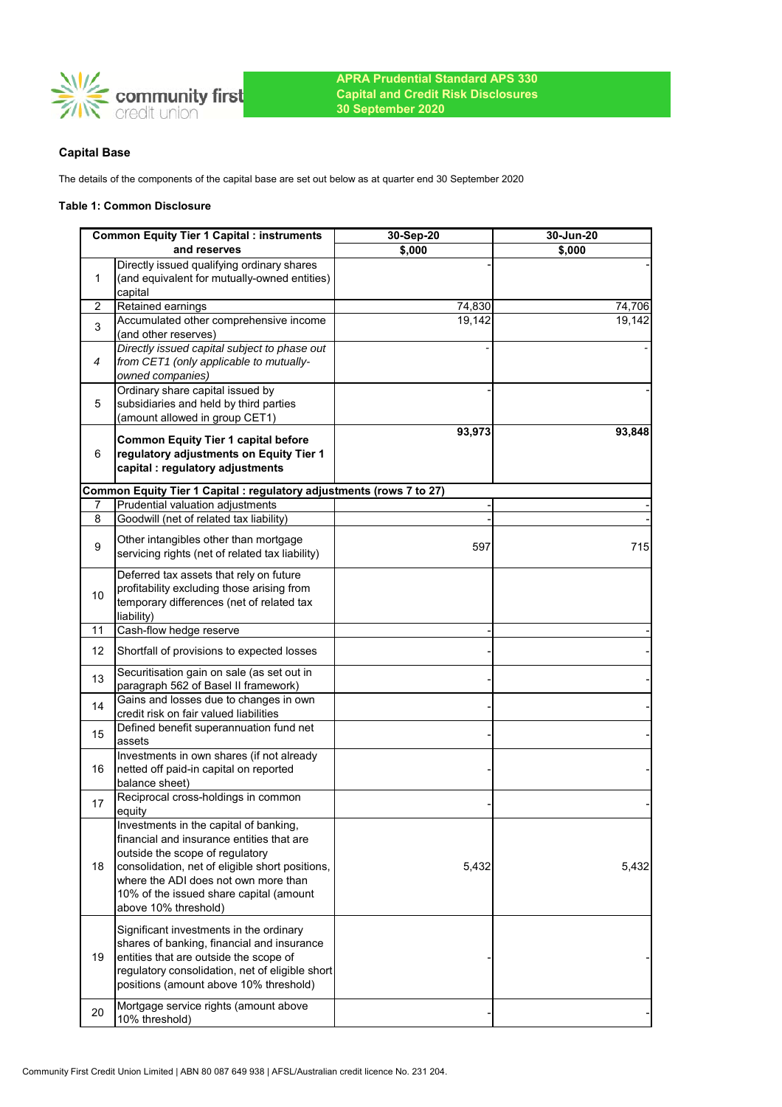

# **Capital Base**

The details of the components of the capital base are set out below as at quarter end 30 September 2020

### **Table 1: Common Disclosure**

|    | <b>Common Equity Tier 1 Capital : instruments</b>                                          | 30-Sep-20        | 30-Jun-20 |
|----|--------------------------------------------------------------------------------------------|------------------|-----------|
|    | and reserves                                                                               | \$,000           | \$,000    |
| 1  | Directly issued qualifying ordinary shares<br>(and equivalent for mutually-owned entities) |                  |           |
| 2  | capital<br>Retained earnings                                                               |                  | 74,706    |
|    | Accumulated other comprehensive income                                                     | 74,830<br>19,142 | 19,142    |
| 3  | (and other reserves)                                                                       |                  |           |
|    | Directly issued capital subject to phase out                                               |                  |           |
| 4  | from CET1 (only applicable to mutually-                                                    |                  |           |
|    | owned companies)                                                                           |                  |           |
|    | Ordinary share capital issued by                                                           |                  |           |
| 5  | subsidiaries and held by third parties                                                     |                  |           |
|    | (amount allowed in group CET1)                                                             |                  |           |
|    | <b>Common Equity Tier 1 capital before</b>                                                 | 93,973           | 93,848    |
| 6  | regulatory adjustments on Equity Tier 1                                                    |                  |           |
|    | capital : regulatory adjustments                                                           |                  |           |
|    | Common Equity Tier 1 Capital : regulatory adjustments (rows 7 to 27)                       |                  |           |
| 7  | Prudential valuation adjustments                                                           |                  |           |
| 8  | Goodwill (net of related tax liability)                                                    |                  |           |
|    | Other intangibles other than mortgage                                                      |                  |           |
| 9  | servicing rights (net of related tax liability)                                            | 597              | 715       |
|    | Deferred tax assets that rely on future                                                    |                  |           |
|    | profitability excluding those arising from                                                 |                  |           |
| 10 | temporary differences (net of related tax                                                  |                  |           |
|    | liability)                                                                                 |                  |           |
| 11 | Cash-flow hedge reserve                                                                    |                  |           |
| 12 | Shortfall of provisions to expected losses                                                 |                  |           |
| 13 | Securitisation gain on sale (as set out in                                                 |                  |           |
|    | paragraph 562 of Basel II framework)<br>Gains and losses due to changes in own             |                  |           |
| 14 | credit risk on fair valued liabilities                                                     |                  |           |
|    | Defined benefit superannuation fund net                                                    |                  |           |
| 15 | assets                                                                                     |                  |           |
|    | Investments in own shares (if not already                                                  |                  |           |
| 16 | netted off paid-in capital on reported                                                     |                  |           |
|    | balance sheet)                                                                             |                  |           |
| 17 | Reciprocal cross-holdings in common                                                        |                  |           |
|    | equity                                                                                     |                  |           |
|    | Investments in the capital of banking,<br>financial and insurance entities that are        |                  |           |
|    | outside the scope of regulatory                                                            |                  |           |
| 18 | consolidation, net of eligible short positions,                                            | 5,432            | 5,432     |
|    | where the ADI does not own more than                                                       |                  |           |
|    | 10% of the issued share capital (amount                                                    |                  |           |
|    | above 10% threshold)                                                                       |                  |           |
|    | Significant investments in the ordinary                                                    |                  |           |
|    | shares of banking, financial and insurance                                                 |                  |           |
| 19 | entities that are outside the scope of                                                     |                  |           |
|    | regulatory consolidation, net of eligible short                                            |                  |           |
|    | positions (amount above 10% threshold)                                                     |                  |           |
|    | Mortgage service rights (amount above                                                      |                  |           |
| 20 | 10% threshold)                                                                             |                  |           |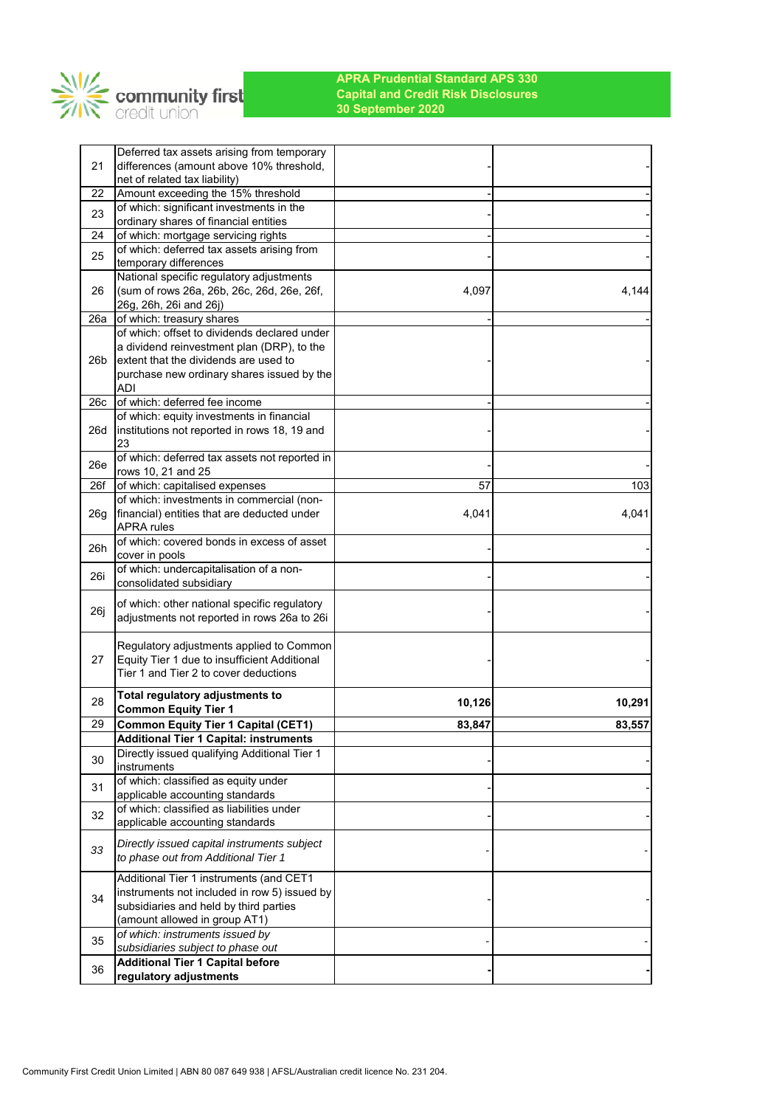

| 21              | Deferred tax assets arising from temporary<br>differences (amount above 10% threshold, |        |        |
|-----------------|----------------------------------------------------------------------------------------|--------|--------|
|                 | net of related tax liability)                                                          |        |        |
| 22              | Amount exceeding the 15% threshold                                                     |        |        |
| 23              | of which: significant investments in the<br>ordinary shares of financial entities      |        |        |
| 24              | of which: mortgage servicing rights                                                    |        |        |
|                 | of which: deferred tax assets arising from                                             |        |        |
| 25              | temporary differences                                                                  |        |        |
|                 | National specific regulatory adjustments                                               |        |        |
| 26              | (sum of rows 26a, 26b, 26c, 26d, 26e, 26f,                                             | 4,097  | 4,144  |
|                 | 26g, 26h, 26i and 26j)                                                                 |        |        |
| 26a             | of which: treasury shares                                                              |        |        |
|                 | of which: offset to dividends declared under                                           |        |        |
|                 | a dividend reinvestment plan (DRP), to the                                             |        |        |
| 26 <sub>b</sub> | extent that the dividends are used to                                                  |        |        |
|                 | purchase new ordinary shares issued by the<br><b>ADI</b>                               |        |        |
| 26c             | of which: deferred fee income                                                          |        |        |
|                 | of which: equity investments in financial                                              |        |        |
| 26d             | institutions not reported in rows 18, 19 and                                           |        |        |
|                 | 23                                                                                     |        |        |
| 26e             | of which: deferred tax assets not reported in                                          |        |        |
|                 | rows 10, 21 and 25                                                                     |        |        |
| 26f             | of which: capitalised expenses                                                         | 57     | 103    |
|                 | of which: investments in commercial (non-                                              |        |        |
| 26g             | financial) entities that are deducted under                                            | 4,041  | 4,041  |
|                 | <b>APRA</b> rules<br>of which: covered bonds in excess of asset                        |        |        |
| 26h             | cover in pools                                                                         |        |        |
|                 | of which: undercapitalisation of a non-                                                |        |        |
| 26i             | consolidated subsidiary                                                                |        |        |
|                 | of which: other national specific regulatory                                           |        |        |
| 26j             | adjustments not reported in rows 26a to 26i                                            |        |        |
|                 |                                                                                        |        |        |
|                 | Regulatory adjustments applied to Common                                               |        |        |
| 27              | Equity Tier 1 due to insufficient Additional                                           |        |        |
|                 | Tier 1 and Tier 2 to cover deductions                                                  |        |        |
|                 | Total regulatory adjustments to                                                        |        |        |
| 28              | <b>Common Equity Tier 1</b>                                                            | 10,126 | 10,291 |
| 29              | <b>Common Equity Tier 1 Capital (CET1)</b>                                             | 83,847 | 83,557 |
|                 | <b>Additional Tier 1 Capital: instruments</b>                                          |        |        |
| 30              | Directly issued qualifying Additional Tier 1                                           |        |        |
|                 | instruments                                                                            |        |        |
| 31              | of which: classified as equity under                                                   |        |        |
|                 | applicable accounting standards                                                        |        |        |
| 32              | of which: classified as liabilities under                                              |        |        |
|                 | applicable accounting standards                                                        |        |        |
| 33              | Directly issued capital instruments subject                                            |        |        |
|                 | to phase out from Additional Tier 1                                                    |        |        |
|                 | Additional Tier 1 instruments (and CET1                                                |        |        |
|                 | instruments not included in row 5) issued by                                           |        |        |
| 34              | subsidiaries and held by third parties                                                 |        |        |
|                 | (amount allowed in group AT1)                                                          |        |        |
| 35              | of which: instruments issued by                                                        |        |        |
|                 | subsidiaries subject to phase out                                                      |        |        |
| 36              | <b>Additional Tier 1 Capital before</b>                                                |        |        |
|                 | regulatory adjustments                                                                 |        |        |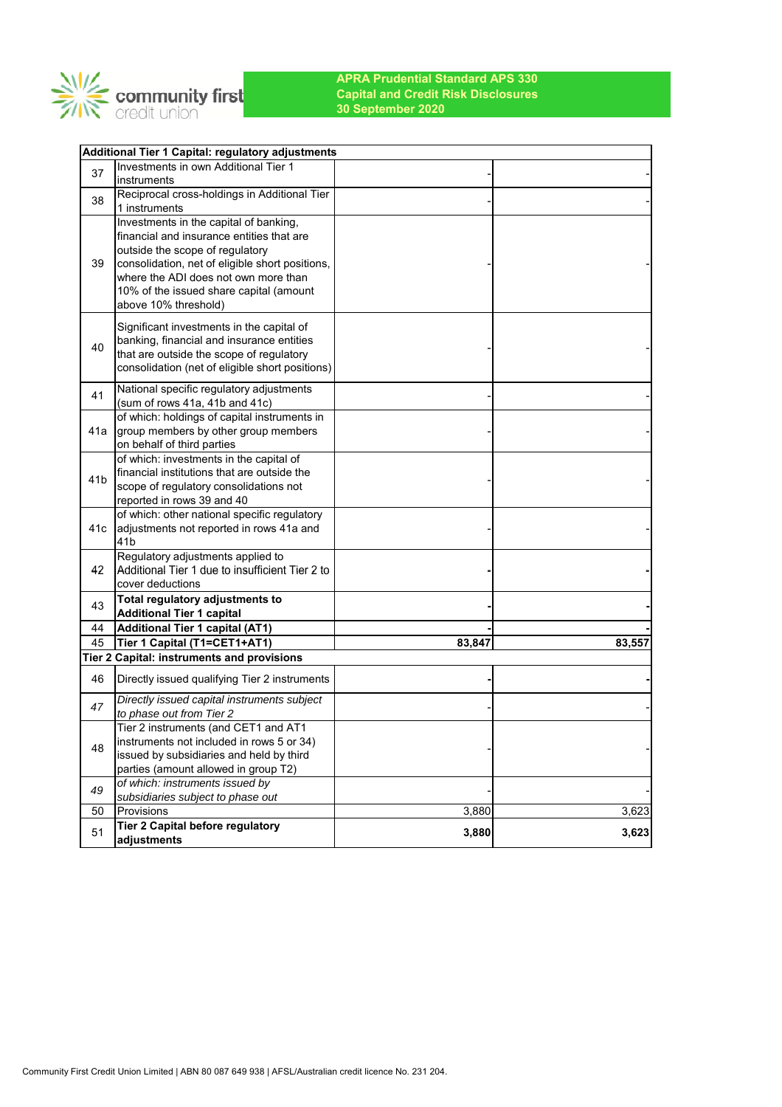

|                 | Additional Tier 1 Capital: regulatory adjustments                                     |        |        |
|-----------------|---------------------------------------------------------------------------------------|--------|--------|
| 37              | Investments in own Additional Tier 1                                                  |        |        |
|                 | instruments                                                                           |        |        |
| 38              | Reciprocal cross-holdings in Additional Tier                                          |        |        |
|                 | 1 instruments                                                                         |        |        |
|                 | Investments in the capital of banking,                                                |        |        |
|                 | financial and insurance entities that are                                             |        |        |
|                 | outside the scope of regulatory                                                       |        |        |
| 39              | consolidation, net of eligible short positions,                                       |        |        |
|                 | where the ADI does not own more than                                                  |        |        |
|                 | 10% of the issued share capital (amount                                               |        |        |
|                 | above 10% threshold)                                                                  |        |        |
|                 | Significant investments in the capital of                                             |        |        |
| 40              | banking, financial and insurance entities                                             |        |        |
|                 | that are outside the scope of regulatory                                              |        |        |
|                 | consolidation (net of eligible short positions)                                       |        |        |
|                 | National specific regulatory adjustments                                              |        |        |
| 41              | (sum of rows 41a, 41b and 41c)                                                        |        |        |
|                 | of which: holdings of capital instruments in                                          |        |        |
| 41a             | group members by other group members                                                  |        |        |
|                 | on behalf of third parties                                                            |        |        |
|                 | of which: investments in the capital of                                               |        |        |
| 41 <sub>b</sub> | financial institutions that are outside the                                           |        |        |
|                 | scope of regulatory consolidations not                                                |        |        |
|                 | reported in rows 39 and 40                                                            |        |        |
|                 | of which: other national specific regulatory                                          |        |        |
| 41c             | adjustments not reported in rows 41a and<br>41 <sub>b</sub>                           |        |        |
|                 | Regulatory adjustments applied to                                                     |        |        |
| 42              | Additional Tier 1 due to insufficient Tier 2 to                                       |        |        |
|                 | cover deductions                                                                      |        |        |
|                 | Total regulatory adjustments to                                                       |        |        |
| 43              | <b>Additional Tier 1 capital</b>                                                      |        |        |
| 44              | <b>Additional Tier 1 capital (AT1)</b>                                                |        |        |
| 45              | Tier 1 Capital (T1=CET1+AT1)                                                          | 83,847 | 83,557 |
|                 | Tier 2 Capital: instruments and provisions                                            |        |        |
| 46              | Directly issued qualifying Tier 2 instruments                                         |        |        |
|                 |                                                                                       |        |        |
| 47              | Directly issued capital instruments subject                                           |        |        |
|                 | to phase out from Tier 2                                                              |        |        |
|                 | Tier 2 instruments (and CET1 and AT1                                                  |        |        |
| 48              | instruments not included in rows 5 or 34)<br>issued by subsidiaries and held by third |        |        |
|                 | parties (amount allowed in group T2)                                                  |        |        |
|                 | of which: instruments issued by                                                       |        |        |
| 49              | subsidiaries subject to phase out                                                     |        |        |
| 50              | Provisions                                                                            | 3,880  | 3,623  |
|                 | Tier 2 Capital before regulatory                                                      |        |        |
| 51              | adjustments                                                                           | 3,880  | 3,623  |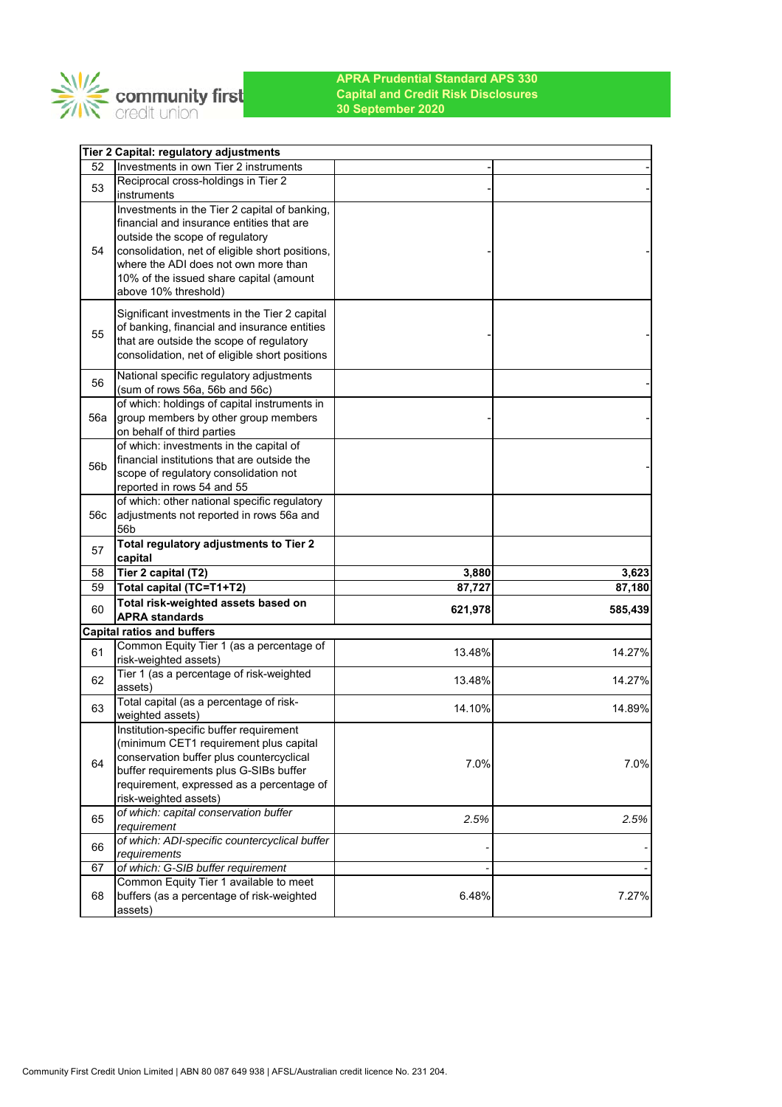

|     | Tier 2 Capital: regulatory adjustments                                                   |         |                                      |
|-----|------------------------------------------------------------------------------------------|---------|--------------------------------------|
| 52  | Investments in own Tier 2 instruments                                                    |         |                                      |
| 53  | Reciprocal cross-holdings in Tier 2                                                      |         |                                      |
|     | instruments                                                                              |         |                                      |
|     | Investments in the Tier 2 capital of banking,                                            |         |                                      |
|     | financial and insurance entities that are                                                |         |                                      |
| 54  | outside the scope of regulatory                                                          |         |                                      |
|     | consolidation, net of eligible short positions,<br>where the ADI does not own more than  |         |                                      |
|     | 10% of the issued share capital (amount                                                  |         |                                      |
|     | above 10% threshold)                                                                     |         |                                      |
|     |                                                                                          |         |                                      |
|     | Significant investments in the Tier 2 capital                                            |         |                                      |
| 55  | of banking, financial and insurance entities<br>that are outside the scope of regulatory |         |                                      |
|     | consolidation, net of eligible short positions                                           |         |                                      |
|     |                                                                                          |         |                                      |
| 56  | National specific regulatory adjustments                                                 |         |                                      |
|     | (sum of rows 56a, 56b and 56c)<br>of which: holdings of capital instruments in           |         |                                      |
| 56a | group members by other group members                                                     |         |                                      |
|     | on behalf of third parties                                                               |         |                                      |
|     | of which: investments in the capital of                                                  |         |                                      |
|     | financial institutions that are outside the                                              |         |                                      |
| 56b | scope of regulatory consolidation not                                                    |         |                                      |
|     | reported in rows 54 and 55                                                               |         |                                      |
|     | of which: other national specific regulatory                                             |         |                                      |
| 56c | adjustments not reported in rows 56a and                                                 |         |                                      |
|     | 56 <sub>b</sub>                                                                          |         |                                      |
|     |                                                                                          |         |                                      |
| 57  | Total regulatory adjustments to Tier 2                                                   |         |                                      |
|     | capital                                                                                  |         |                                      |
| 58  | Tier 2 capital (T2)                                                                      | 3,880   |                                      |
| 59  | Total capital (TC=T1+T2)                                                                 | 87,727  |                                      |
| 60  | Total risk-weighted assets based on                                                      | 621,978 |                                      |
|     | <b>APRA standards</b>                                                                    |         |                                      |
|     | <b>Capital ratios and buffers</b>                                                        |         |                                      |
| 61  | Common Equity Tier 1 (as a percentage of                                                 | 13.48%  |                                      |
|     | risk-weighted assets)                                                                    |         | 3,623<br>87,180<br>585,439<br>14.27% |
| 62  | Tier 1 (as a percentage of risk-weighted<br>assets)                                      | 13.48%  | 14.27%                               |
|     | Total capital (as a percentage of risk-                                                  |         |                                      |
| 63  | weighted assets)                                                                         | 14.10%  | 14.89%                               |
|     | Institution-specific buffer requirement                                                  |         |                                      |
|     | (minimum CET1 requirement plus capital                                                   |         |                                      |
| 64  | conservation buffer plus countercyclical                                                 |         |                                      |
|     | buffer requirements plus G-SIBs buffer                                                   | 7.0%    |                                      |
|     | requirement, expressed as a percentage of                                                |         |                                      |
|     | risk-weighted assets)                                                                    |         | 7.0%                                 |
| 65  | of which: capital conservation buffer                                                    | 2.5%    |                                      |
|     | requirement                                                                              |         |                                      |
| 66  | of which: ADI-specific countercyclical buffer                                            |         | 2.5%                                 |
| 67  | requirements<br>of which: G-SIB buffer requirement                                       |         |                                      |
|     | Common Equity Tier 1 available to meet                                                   |         |                                      |
| 68  | buffers (as a percentage of risk-weighted                                                | 6.48%   | 7.27%                                |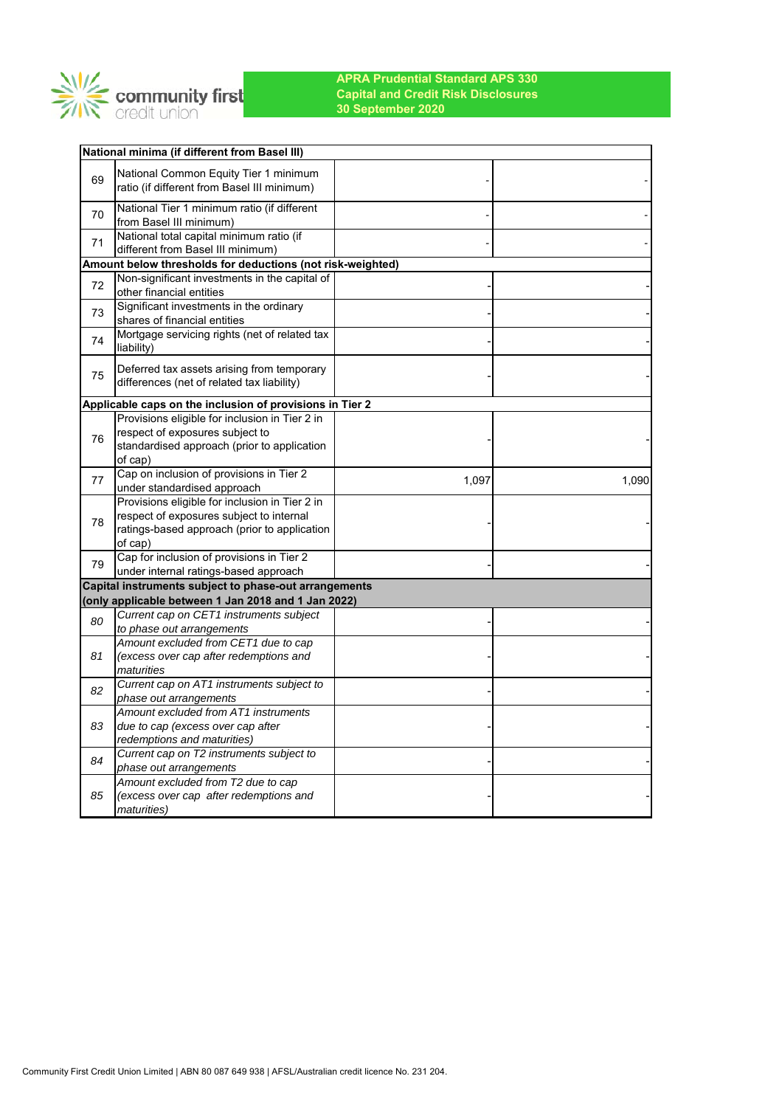

|    | National minima (if different from Basel III)                                                               |       |       |
|----|-------------------------------------------------------------------------------------------------------------|-------|-------|
|    | National Common Equity Tier 1 minimum                                                                       |       |       |
| 69 | ratio (if different from Basel III minimum)                                                                 |       |       |
| 70 | National Tier 1 minimum ratio (if different                                                                 |       |       |
|    | from Basel III minimum)                                                                                     |       |       |
| 71 | National total capital minimum ratio (if                                                                    |       |       |
|    | different from Basel III minimum)                                                                           |       |       |
|    | Amount below thresholds for deductions (not risk-weighted)<br>Non-significant investments in the capital of |       |       |
| 72 | other financial entities                                                                                    |       |       |
|    | Significant investments in the ordinary                                                                     |       |       |
| 73 | shares of financial entities                                                                                |       |       |
|    | Mortgage servicing rights (net of related tax                                                               |       |       |
| 74 | liability)                                                                                                  |       |       |
|    | Deferred tax assets arising from temporary                                                                  |       |       |
| 75 | differences (net of related tax liability)                                                                  |       |       |
|    | Applicable caps on the inclusion of provisions in Tier 2                                                    |       |       |
|    | Provisions eligible for inclusion in Tier 2 in                                                              |       |       |
| 76 | respect of exposures subject to                                                                             |       |       |
|    | standardised approach (prior to application                                                                 |       |       |
|    | of cap)                                                                                                     |       |       |
| 77 | Cap on inclusion of provisions in Tier 2                                                                    | 1,097 | 1,090 |
|    | under standardised approach<br>Provisions eligible for inclusion in Tier 2 in                               |       |       |
|    | respect of exposures subject to internal                                                                    |       |       |
| 78 | ratings-based approach (prior to application                                                                |       |       |
|    | of cap)                                                                                                     |       |       |
|    | Cap for inclusion of provisions in Tier 2                                                                   |       |       |
| 79 | under internal ratings-based approach                                                                       |       |       |
|    | Capital instruments subject to phase-out arrangements                                                       |       |       |
|    | (only applicable between 1 Jan 2018 and 1 Jan 2022)                                                         |       |       |
| 80 | Current cap on CET1 instruments subject                                                                     |       |       |
|    | to phase out arrangements                                                                                   |       |       |
|    | Amount excluded from CET1 due to cap                                                                        |       |       |
| 81 | (excess over cap after redemptions and<br>maturities                                                        |       |       |
|    | Current cap on AT1 instruments subject to                                                                   |       |       |
| 82 | phase out arrangements                                                                                      |       |       |
|    | Amount excluded from AT1 instruments                                                                        |       |       |
| 83 | due to cap (excess over cap after                                                                           |       |       |
|    | redemptions and maturities)                                                                                 |       |       |
| 84 | Current cap on T2 instruments subject to                                                                    |       |       |
|    | phase out arrangements<br>Amount excluded from T2 due to cap                                                |       |       |
| 85 | (excess over cap after redemptions and                                                                      |       |       |
|    | maturities)                                                                                                 |       |       |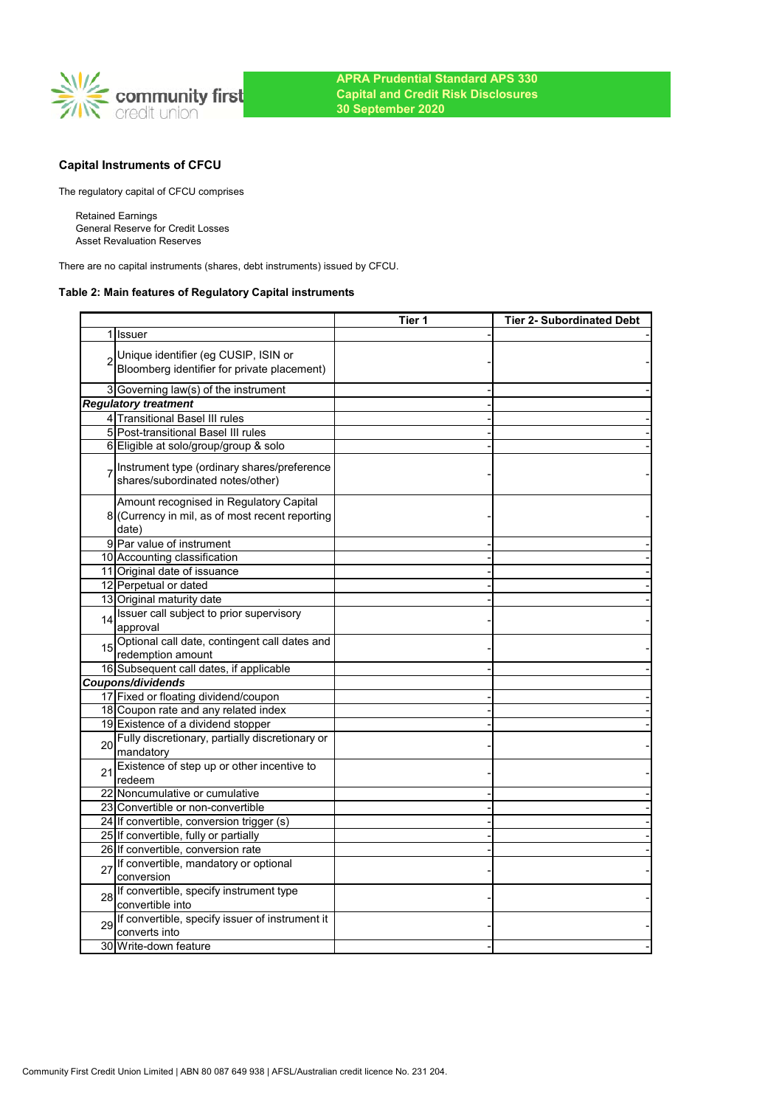

# **Capital Instruments of CFCU**

The regulatory capital of CFCU comprises

Retained Earnings General Reserve for Credit Losses Asset Revaluation Reserves

There are no capital instruments (shares, debt instruments) issued by CFCU.

## **Table 2: Main features of Regulatory Capital instruments**

|    |                                                                                                     | Tier 1 | <b>Tier 2- Subordinated Debt</b> |
|----|-----------------------------------------------------------------------------------------------------|--------|----------------------------------|
| 11 | <b>Issuer</b>                                                                                       |        |                                  |
|    | Unique identifier (eg CUSIP, ISIN or<br>Bloomberg identifier for private placement)                 |        |                                  |
|    | 3 Governing law(s) of the instrument                                                                |        |                                  |
|    | <b>Regulatory treatment</b>                                                                         |        |                                  |
|    | 4 Transitional Basel III rules                                                                      |        |                                  |
|    | 5 Post-transitional Basel III rules                                                                 |        |                                  |
|    | 6 Eligible at solo/group/group & solo                                                               |        |                                  |
|    | Instrument type (ordinary shares/preference<br>shares/subordinated notes/other)                     |        |                                  |
|    | Amount recognised in Regulatory Capital<br>8 (Currency in mil, as of most recent reporting<br>date) |        |                                  |
|    | 9 Par value of instrument                                                                           |        |                                  |
|    | 10 Accounting classification                                                                        |        |                                  |
|    | 11 Original date of issuance                                                                        |        |                                  |
|    | 12 Perpetual or dated                                                                               |        |                                  |
|    | 13 Original maturity date                                                                           |        |                                  |
| 14 | Issuer call subject to prior supervisory<br>approval                                                |        |                                  |
| 15 | Optional call date, contingent call dates and<br>redemption amount                                  |        |                                  |
|    | 16 Subsequent call dates, if applicable                                                             |        |                                  |
|    | Coupons/dividends                                                                                   |        |                                  |
|    | 17 Fixed or floating dividend/coupon                                                                |        |                                  |
|    | 18 Coupon rate and any related index                                                                |        |                                  |
|    | 19 Existence of a dividend stopper                                                                  |        |                                  |
| 20 | Fully discretionary, partially discretionary or<br>mandatory                                        |        |                                  |
| 21 | Existence of step up or other incentive to<br>redeem                                                |        |                                  |
|    | 22 Noncumulative or cumulative                                                                      |        |                                  |
|    | 23 Convertible or non-convertible                                                                   |        |                                  |
|    | 24 If convertible, conversion trigger (s)                                                           |        |                                  |
|    | 25 If convertible, fully or partially                                                               |        |                                  |
|    | 26 If convertible, conversion rate                                                                  |        |                                  |
| 27 | If convertible, mandatory or optional<br>conversion                                                 |        |                                  |
| 28 | If convertible, specify instrument type<br>convertible into                                         |        |                                  |
| 29 | If convertible, specify issuer of instrument it<br>converts into                                    |        |                                  |
|    | 30 Write-down feature                                                                               |        |                                  |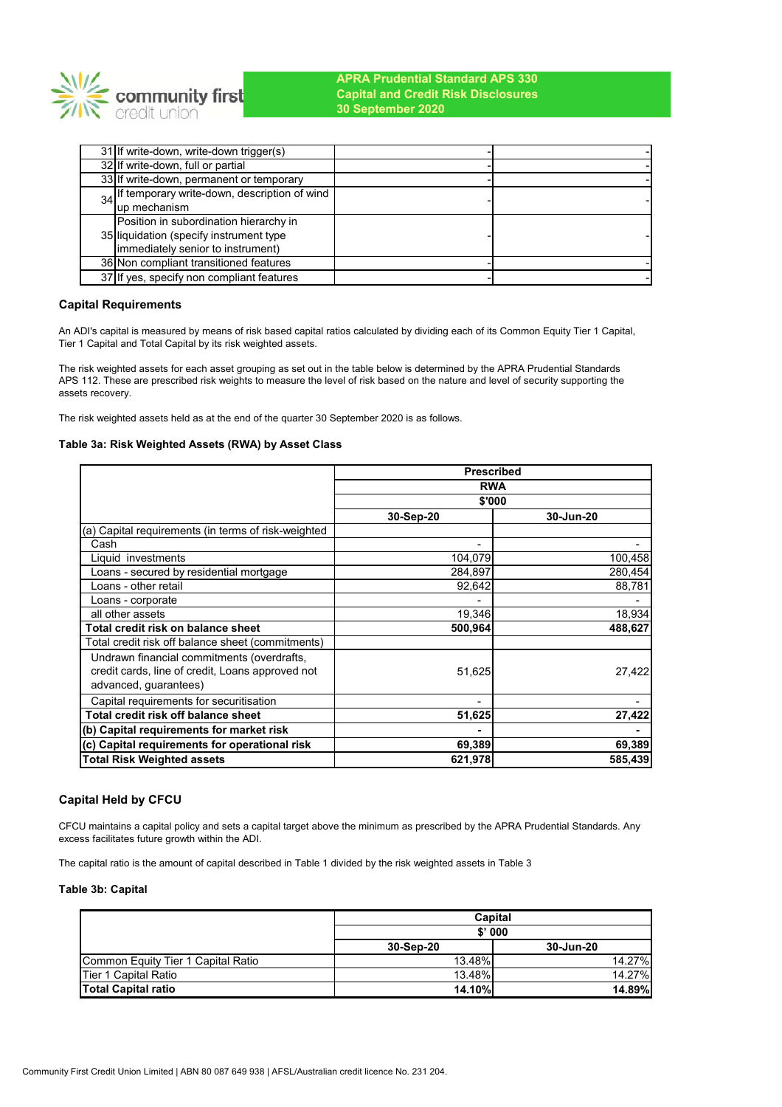

| 31 If write-down, write-down trigger(s)         |  |
|-------------------------------------------------|--|
| 32 If write-down, full or partial               |  |
| 33 If write-down, permanent or temporary        |  |
| 34 If temporary write-down, description of wind |  |
| up mechanism                                    |  |
| Position in subordination hierarchy in          |  |
| 35 liquidation (specify instrument type         |  |
| (immediately senior to instrument)              |  |
| 36 Non compliant transitioned features          |  |
| 37 If yes, specify non compliant features       |  |

## **Capital Requirements**

An ADI's capital is measured by means of risk based capital ratios calculated by dividing each of its Common Equity Tier 1 Capital, Tier 1 Capital and Total Capital by its risk weighted assets.

The risk weighted assets for each asset grouping as set out in the table below is determined by the APRA Prudential Standards APS 112. These are prescribed risk weights to measure the level of risk based on the nature and level of security supporting the assets recovery.

The risk weighted assets held as at the end of the quarter 30 September 2020 is as follows.

### **Table 3a: Risk Weighted Assets (RWA) by Asset Class**

|                                                     | <b>Prescribed</b> |           |  |
|-----------------------------------------------------|-------------------|-----------|--|
|                                                     | <b>RWA</b>        |           |  |
|                                                     | \$'000            |           |  |
|                                                     | 30-Sep-20         | 30-Jun-20 |  |
| (a) Capital requirements (in terms of risk-weighted |                   |           |  |
| Cash                                                | ۰                 |           |  |
| Liquid investments                                  | 104,079           | 100,458   |  |
| Loans - secured by residential mortgage             | 284,897           | 280,454   |  |
| Loans - other retail                                | 92,642            | 88,781    |  |
| Loans - corporate                                   |                   |           |  |
| all other assets                                    | 19,346            | 18,934    |  |
| Total credit risk on balance sheet                  | 500,964           | 488,627   |  |
| Total credit risk off balance sheet (commitments)   |                   |           |  |
| Undrawn financial commitments (overdrafts,          |                   |           |  |
| credit cards, line of credit, Loans approved not    | 51,625            | 27,422    |  |
| advanced, guarantees)                               |                   |           |  |
| Capital requirements for securitisation             | -                 |           |  |
| Total credit risk off balance sheet                 | 51,625            | 27,422    |  |
| (b) Capital requirements for market risk            |                   |           |  |
| (c) Capital requirements for operational risk       | 69,389            | 69,389    |  |
| <b>Total Risk Weighted assets</b>                   | 621,978           | 585,439   |  |

### **Capital Held by CFCU**

CFCU maintains a capital policy and sets a capital target above the minimum as prescribed by the APRA Prudential Standards. Any excess facilitates future growth within the ADI.

The capital ratio is the amount of capital described in Table 1 divided by the risk weighted assets in Table 3

### **Table 3b: Capital**

|                                    | Capital       |               |  |
|------------------------------------|---------------|---------------|--|
|                                    | $$'$ 000      |               |  |
|                                    | 30-Sep-20     | 30-Jun-20     |  |
| Common Equity Tier 1 Capital Ratio | 13.48%        | 14.27%        |  |
| Tier 1 Capital Ratio               | 13.48%        | 14.27%        |  |
| <b>Total Capital ratio</b>         | <b>14.10%</b> | <b>14.89%</b> |  |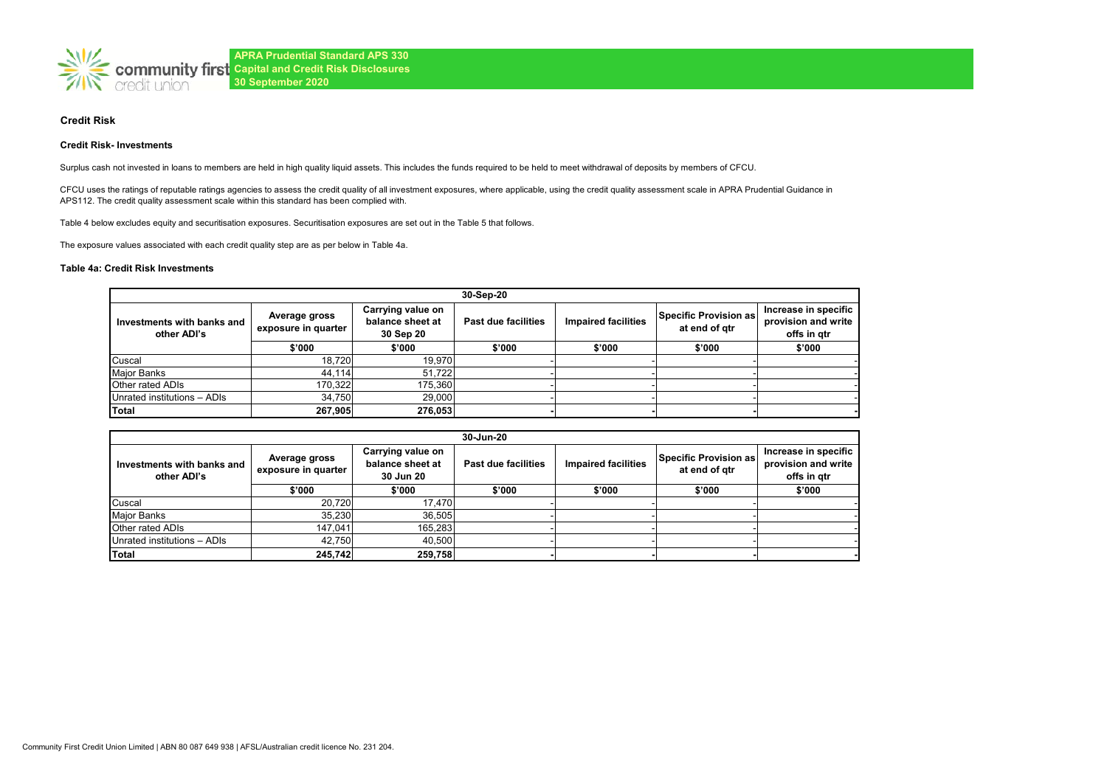

### **Credit Risk**

#### **Credit Risk- Investments**

Surplus cash not invested in loans to members are held in high quality liquid assets. This includes the funds required to be held to meet withdrawal of deposits by members of CFCU.

CFCU uses the ratings of reputable ratings agencies to assess the credit quality of all investment exposures, where applicable, using the credit quality assessment scale in APRA Prudential Guidance in APS112. The credit quality assessment scale within this standard has been complied with.

Table 4 below excludes equity and securitisation exposures. Securitisation exposures are set out in the Table 5 that follows.

The exposure values associated with each credit quality step are as per below in Table 4a.

#### **Table 4a: Credit Risk Investments**

| 30-Sep-20                                 |                                      |                                                    |                                                   |        |                                        |                                                            |  |
|-------------------------------------------|--------------------------------------|----------------------------------------------------|---------------------------------------------------|--------|----------------------------------------|------------------------------------------------------------|--|
| Investments with banks and<br>other ADI's | Average gross<br>exposure in quarter | Carrying value on<br>balance sheet at<br>30 Sep 20 | <b>Impaired facilities</b><br>Past due facilities |        | Specific Provision as<br>at end of gtr | Increase in specific<br>provision and write<br>offs in gtr |  |
|                                           | \$'000                               | \$'000                                             | \$'000                                            | \$'000 | \$'000                                 | \$'000                                                     |  |
| Cuscal                                    | 18,720                               | 19.970                                             |                                                   |        |                                        |                                                            |  |
| <b>Major Banks</b>                        | 44.114                               | 51.722                                             |                                                   |        |                                        |                                                            |  |
| Other rated ADIs                          | 170.322                              | 175,360                                            |                                                   |        |                                        |                                                            |  |
| Unrated institutions - ADIs               | 34,750                               | 29.000                                             |                                                   |        |                                        |                                                            |  |
| Total                                     | 267.905                              | 276,053                                            |                                                   |        |                                        |                                                            |  |

| 30-Jun-20                                 |                                                                                            |         |                     |                            |                                        |                                                            |  |
|-------------------------------------------|--------------------------------------------------------------------------------------------|---------|---------------------|----------------------------|----------------------------------------|------------------------------------------------------------|--|
| Investments with banks and<br>other ADI's | Carrying value on<br>Average gross<br>balance sheet at<br>exposure in quarter<br>30 Jun 20 |         | Past due facilities | <b>Impaired facilities</b> | Specific Provision as<br>at end of gtr | Increase in specific<br>provision and write<br>offs in atr |  |
|                                           | \$'000                                                                                     | \$'000  | \$'000              | \$'000                     | \$'000                                 | \$'000                                                     |  |
| Cuscal                                    | 20.720                                                                                     | 17.470  |                     |                            |                                        |                                                            |  |
| Major Banks                               | 35.230                                                                                     | 36.505  |                     |                            |                                        |                                                            |  |
| Other rated ADIs                          | 147.041                                                                                    | 165,283 |                     |                            |                                        |                                                            |  |
| Unrated institutions - ADIs               | 42.750                                                                                     | 40.500  |                     |                            |                                        |                                                            |  |
| Total                                     | 245,742                                                                                    | 259,758 |                     |                            |                                        |                                                            |  |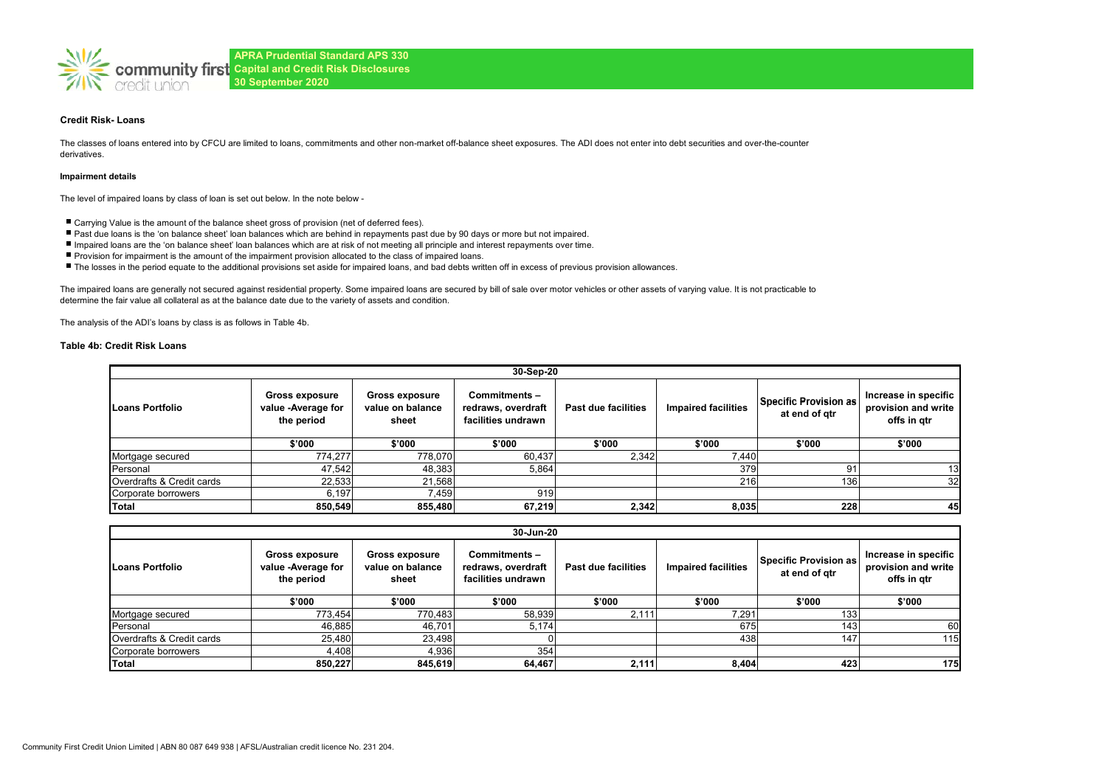

### **Credit Risk- Loans**

The classes of loans entered into by CFCU are limited to loans, commitments and other non-market off-balance sheet exposures. The ADI does not enter into debt securities and over-the-counter derivatives.

#### **Impairment details**

The level of impaired loans by class of loan is set out below. In the note below -

- Carrying Value is the amount of the balance sheet gross of provision (net of deferred fees).
- Past due loans is the 'on balance sheet' loan balances which are behind in repayments past due by 90 days or more but not impaired.
- Impaired loans are the 'on balance sheet' loan balances which are at risk of not meeting all principle and interest repayments over time.
- Provision for impairment is the amount of the impairment provision allocated to the class of impaired loans.
- The losses in the period equate to the additional provisions set aside for impaired loans, and bad debts written off in excess of previous provision allowances.

The impaired loans are generally not secured against residential property. Some impaired loans are secured by bill of sale over motor vehicles or other assets of varying value. It is not practicable to determine the fair value all collateral as at the balance date due to the variety of assets and condition.

The analysis of the ADI's loans by class is as follows in Table 4b.

### **Table 4b: Credit Risk Loans**

|                                                                                                                                           | 30-Sep-20 |                                                          |                     |                            |                                        |                                                            |        |  |  |  |
|-------------------------------------------------------------------------------------------------------------------------------------------|-----------|----------------------------------------------------------|---------------------|----------------------------|----------------------------------------|------------------------------------------------------------|--------|--|--|--|
| <b>Gross exposure</b><br><b>Gross exposure</b><br>value on balance<br>value -Average for<br><b>Loans Portfolio</b><br>the period<br>sheet |           | Commitments-<br>redraws, overdraft<br>facilities undrawn | Past due facilities | <b>Impaired facilities</b> | Specific Provision as<br>at end of gtr | Increase in specific<br>provision and write<br>offs in gtr |        |  |  |  |
|                                                                                                                                           | \$'000    | \$'000                                                   | \$'000              | \$'000                     | \$'000                                 | \$'000                                                     | \$'000 |  |  |  |
| Mortgage secured                                                                                                                          | 774.277   | 778,070                                                  | 60,437              | 2,342                      | 7,440                                  |                                                            |        |  |  |  |
| Personal                                                                                                                                  | 47,542    | 48,383                                                   | 5,864               |                            | 379                                    | 9                                                          | 13     |  |  |  |
| Overdrafts & Credit cards                                                                                                                 | 22,533    | 21,568                                                   |                     |                            | 216                                    | 136                                                        | 32     |  |  |  |
| Corporate borrowers                                                                                                                       | 6.197     | 7.459                                                    | 919                 |                            |                                        |                                                            |        |  |  |  |
| Total                                                                                                                                     | 850,549   | 855,480                                                  | 67,219              | 2,342                      | 8,035                                  | 228                                                        | 45     |  |  |  |

| 30-Jun-20                 |                                                           |                                                    |                                                          |                     |                            |                                        |                                                            |
|---------------------------|-----------------------------------------------------------|----------------------------------------------------|----------------------------------------------------------|---------------------|----------------------------|----------------------------------------|------------------------------------------------------------|
| Loans Portfolio           | <b>Gross exposure</b><br>value -Average for<br>the period | <b>Gross exposure</b><br>value on balance<br>sheet | Commitments-<br>redraws, overdraft<br>facilities undrawn | Past due facilities | <b>Impaired facilities</b> | Specific Provision as<br>at end of gtr | Increase in specific<br>provision and write<br>offs in gtr |
|                           | \$'000                                                    | \$'000                                             | \$'000                                                   | \$'000              | \$'000                     | \$'000                                 | \$'000                                                     |
| Mortgage secured          | 773,454                                                   | 770,483                                            | 58,939                                                   | 2,111               | 7,291                      | 133                                    |                                                            |
| Personal                  | 46,885                                                    | 46,701                                             | 5,174                                                    |                     | 675                        | 143.                                   | 60                                                         |
| Overdrafts & Credit cards | 25,480                                                    | 23,498                                             |                                                          |                     | 438                        | 147                                    | 115                                                        |
| Corporate borrowers       | 4,408                                                     | 4,936                                              | 354                                                      |                     |                            |                                        |                                                            |
| Total                     | 850,227                                                   | 845,619                                            | 64,467                                                   | 2,111               | 8,404                      | 423                                    | 175                                                        |